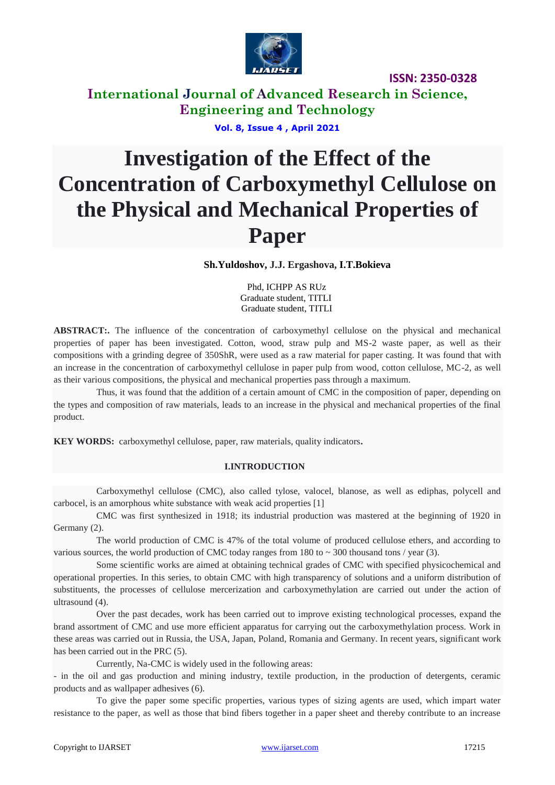

# **International Journal of Advanced Research in Science, Engineering and Technology**

#### **Vol. 8, Issue 4 , April 2021**

# **Investigation of the Effect of the Concentration of Carboxymethyl Cellulose on the Physical and Mechanical Properties of Paper**

#### **Sh.Yuldoshov, J.J. Ergashova, I.T.Bokieva**

 Phd, ICHPP AS RUz Graduate student, TITLI Graduate student, TITLI

**ABSTRACT:.** The influence of the concentration of carboxymethyl cellulose on the physical and mechanical properties of paper has been investigated. Cotton, wood, straw pulp and MS-2 waste paper, as well as their compositions with a grinding degree of 350ShR, were used as a raw material for paper casting. It was found that with an increase in the concentration of carboxymethyl cellulose in paper pulp from wood, cotton cellulose, MC-2, as well as their various compositions, the physical and mechanical properties pass through a maximum.

Thus, it was found that the addition of a certain amount of CMC in the composition of paper, depending on the types and composition of raw materials, leads to an increase in the physical and mechanical properties of the final product.

**KEY WORDS:** carboxymethyl cellulose, paper, raw materials, quality indicators**.**

#### **I.INTRODUCTION**

Carboxymethyl cellulose (CMC), also called tylose, valocel, blanose, as well as ediphas, polycell and carbocel, is an amorphous white substance with weak acid properties [1]

CMC was first synthesized in 1918; its industrial production was mastered at the beginning of 1920 in Germany (2).

The world production of CMC is 47% of the total volume of produced cellulose ethers, and according to various sources, the world production of CMC today ranges from 180 to  $\sim$  300 thousand tons / year (3).

Some scientific works are aimed at obtaining technical grades of CMC with specified physicochemical and operational properties. In this series, to obtain CMC with high transparency of solutions and a uniform distribution of substituents, the processes of cellulose mercerization and carboxymethylation are carried out under the action of ultrasound (4).

Over the past decades, work has been carried out to improve existing technological processes, expand the brand assortment of CMC and use more efficient apparatus for carrying out the carboxymethylation process. Work in these areas was carried out in Russia, the USA, Japan, Poland, Romania and Germany. In recent years, significant work has been carried out in the PRC (5).

Currently, Na-CMC is widely used in the following areas:

- in the oil and gas production and mining industry, textile production, in the production of detergents, ceramic products and as wallpaper adhesives (6).

To give the paper some specific properties, various types of sizing agents are used, which impart water resistance to the paper, as well as those that bind fibers together in a paper sheet and thereby contribute to an increase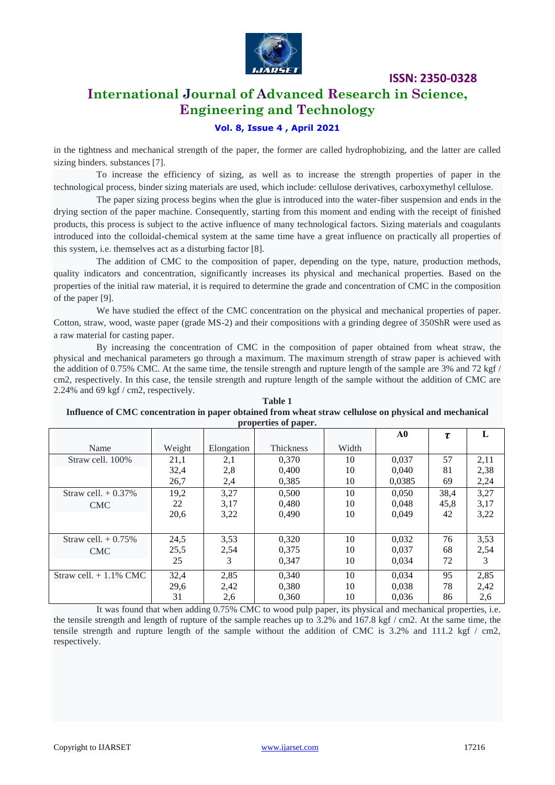

# **International Journal of Advanced Research in Science, Engineering and Technology**

#### **Vol. 8, Issue 4 , April 2021**

in the tightness and mechanical strength of the paper, the former are called hydrophobizing, and the latter are called sizing binders. substances [7].

To increase the efficiency of sizing, as well as to increase the strength properties of paper in the technological process, binder sizing materials are used, which include: cellulose derivatives, carboxymethyl cellulose.

The paper sizing process begins when the glue is introduced into the water-fiber suspension and ends in the drying section of the paper machine. Consequently, starting from this moment and ending with the receipt of finished products, this process is subject to the active influence of many technological factors. Sizing materials and coagulants introduced into the colloidal-chemical system at the same time have a great influence on practically all properties of this system, i.e. themselves act as a disturbing factor [8].

The addition of CMC to the composition of paper, depending on the type, nature, production methods, quality indicators and concentration, significantly increases its physical and mechanical properties. Based on the properties of the initial raw material, it is required to determine the grade and concentration of CMC in the composition of the paper [9].

We have studied the effect of the CMC concentration on the physical and mechanical properties of paper. Cotton, straw, wood, waste paper (grade MS-2) and their compositions with a grinding degree of 350ShR were used as a raw material for casting paper.

By increasing the concentration of CMC in the composition of paper obtained from wheat straw, the physical and mechanical parameters go through a maximum. The maximum strength of straw paper is achieved with the addition of 0.75% CMC. At the same time, the tensile strength and rupture length of the sample are 3% and 72 kgf / cm2, respectively. In this case, the tensile strength and rupture length of the sample without the addition of CMC are 2.24% and 69 kgf / cm2, respectively.

**Table 1 Influence of CMC concentration in paper obtained from wheat straw cellulose on physical and mechanical properties of paper.**

|                          |        |            |           |       | A0     | τ    | L    |
|--------------------------|--------|------------|-----------|-------|--------|------|------|
| Name                     | Weight | Elongation | Thickness | Width |        |      |      |
| Straw cell. 100%         | 21,1   | 2,1        | 0.370     | 10    | 0.037  | 57   | 2,11 |
|                          | 32,4   | 2,8        | 0.400     | 10    | 0.040  | 81   | 2,38 |
|                          | 26,7   | 2,4        | 0,385     | 10    | 0,0385 | 69   | 2,24 |
| Straw cell. $+ 0.37\%$   | 19,2   | 3,27       | 0,500     | 10    | 0,050  | 38,4 | 3,27 |
| <b>CMC</b>               | 22     | 3,17       | 0.480     | 10    | 0.048  | 45,8 | 3,17 |
|                          | 20,6   | 3,22       | 0,490     | 10    | 0.049  | 42   | 3,22 |
|                          |        |            |           |       |        |      |      |
| Straw cell. $+0.75\%$    | 24,5   | 3,53       | 0,320     | 10    | 0,032  | 76   | 3,53 |
| <b>CMC</b>               | 25,5   | 2,54       | 0.375     | 10    | 0.037  | 68   | 2,54 |
|                          | 25     | 3          | 0.347     | 10    | 0.034  | 72   | 3    |
| Straw cell. $+1.1\%$ CMC | 32,4   | 2,85       | 0,340     | 10    | 0.034  | 95   | 2,85 |
|                          | 29,6   | 2,42       | 0.380     | 10    | 0,038  | 78   | 2,42 |
|                          | 31     | 2,6        | 0,360     | 10    | 0,036  | 86   | 2,6  |

It was found that when adding 0.75% CMC to wood pulp paper, its physical and mechanical properties, i.e. the tensile strength and length of rupture of the sample reaches up to 3.2% and 167.8 kgf / cm2. At the same time, the tensile strength and rupture length of the sample without the addition of CMC is 3.2% and 111.2 kgf / cm2, respectively.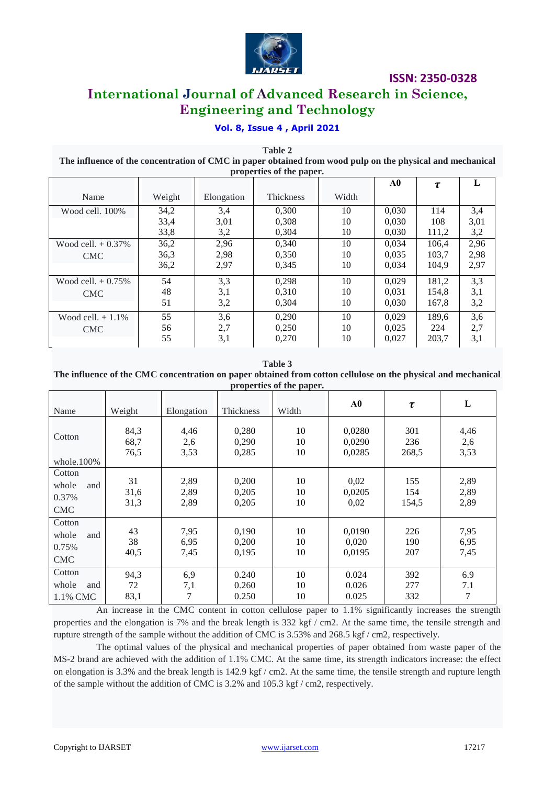

# **International Journal of Advanced Research in Science, Engineering and Technology**

## **Vol. 8, Issue 4 , April 2021**

**Table 2 The influence of the concentration of CMC in paper obtained from wood pulp on the physical and mechanical properties of the paper.**

|                       |        |            |                  |       | A0    | τ     | L    |
|-----------------------|--------|------------|------------------|-------|-------|-------|------|
| Name                  | Weight | Elongation | <b>Thickness</b> | Width |       |       |      |
| Wood cell, 100%       | 34,2   | 3.4        | 0.300            | 10    | 0.030 | 114   | 3,4  |
|                       | 33,4   | 3,01       | 0.308            | 10    | 0.030 | 108   | 3,01 |
|                       | 33,8   | 3,2        | 0.304            | 10    | 0.030 | 111,2 | 3,2  |
| Wood cell. $+ 0.37\%$ | 36,2   | 2,96       | 0.340            | 10    | 0.034 | 106.4 | 2,96 |
| <b>CMC</b>            | 36,3   | 2,98       | 0.350            | 10    | 0.035 | 103.7 | 2,98 |
|                       | 36,2   | 2.97       | 0.345            | 10    | 0.034 | 104.9 | 2,97 |
| Wood cell. $+0.75%$   | 54     | 3,3        | 0.298            | 10    | 0.029 | 181.2 | 3,3  |
| <b>CMC</b>            | 48     | 3,1        | 0.310            | 10    | 0.031 | 154,8 | 3,1  |
|                       | 51     | 3,2        | 0.304            | 10    | 0.030 | 167.8 | 3,2  |
| Wood cell. $+1.1\%$   | 55     | 3,6        | 0.290            | 10    | 0.029 | 189.6 | 3,6  |
| <b>CMC</b>            | 56     | 2,7        | 0,250            | 10    | 0.025 | 224   | 2,7  |
|                       | 55     | 3,1        | 0,270            | 10    | 0.027 | 203,7 | 3,1  |

**Table 3 The influence of the CMC concentration on paper obtained from cotton cellulose on the physical and mechanical properties of the paper.**

|                                               |                      |                      |                         | properties of the puper. |                            |                     |                      |
|-----------------------------------------------|----------------------|----------------------|-------------------------|--------------------------|----------------------------|---------------------|----------------------|
| Name                                          | Weight               | Elongation           | Thickness               | Width                    | A0                         | $\tau$              | L                    |
| Cotton<br>whole $100\%$                       | 84,3<br>68,7<br>76,5 | 4,46<br>2,6<br>3,53  | 0,280<br>0,290<br>0,285 | 10<br>10<br>10           | 0,0280<br>0,0290<br>0,0285 | 301<br>236<br>268,5 | 4,46<br>2,6<br>3,53  |
| Cotton<br>whole<br>and<br>0.37%<br><b>CMC</b> | 31<br>31,6<br>31,3   | 2,89<br>2,89<br>2,89 | 0,200<br>0,205<br>0,205 | 10<br>10<br>10           | 0,02<br>0,0205<br>0,02     | 155<br>154<br>154,5 | 2,89<br>2,89<br>2,89 |
| Cotton<br>whole<br>and<br>0.75%<br><b>CMC</b> | 43<br>38<br>40,5     | 7,95<br>6,95<br>7,45 | 0,190<br>0,200<br>0,195 | 10<br>10<br>10           | 0,0190<br>0,020<br>0,0195  | 226<br>190<br>207   | 7,95<br>6,95<br>7,45 |
| Cotton<br>whole<br>and<br>1.1% CMC            | 94,3<br>72<br>83,1   | 6,9<br>7,1<br>7      | 0.240<br>0.260<br>0.250 | 10<br>10<br>10           | 0.024<br>0.026<br>0.025    | 392<br>277<br>332   | 6.9<br>7.1<br>7      |

An increase in the CMC content in cotton cellulose paper to 1.1% significantly increases the strength properties and the elongation is 7% and the break length is 332 kgf / cm2. At the same time, the tensile strength and rupture strength of the sample without the addition of CMC is 3.53% and 268.5 kgf / cm2, respectively.

The optimal values of the physical and mechanical properties of paper obtained from waste paper of the MS-2 brand are achieved with the addition of 1.1% CMC. At the same time, its strength indicators increase: the effect on elongation is 3.3% and the break length is 142.9 kgf / cm2. At the same time, the tensile strength and rupture length of the sample without the addition of CMC is 3.2% and 105.3 kgf / cm2, respectively.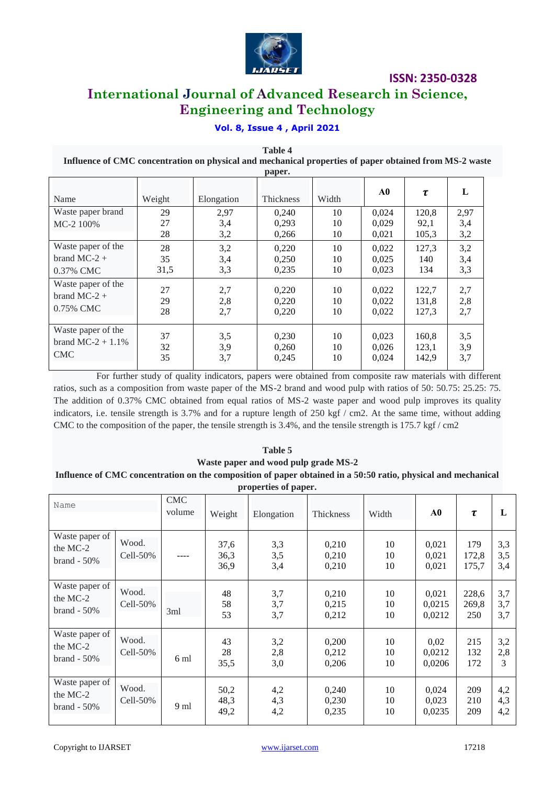

# **International Journal of Advanced Research in Science, Engineering and Technology**

# **Vol. 8, Issue 4 , April 2021**

**Table 4 Influence of CMC concentration on physical and mechanical properties of paper obtained from MS-2 waste paper.**

|                                |                |                    | r - r - - -             |                |                         |                        |                    |
|--------------------------------|----------------|--------------------|-------------------------|----------------|-------------------------|------------------------|--------------------|
| Name                           | Weight         | Elongation         | Thickness               | Width          | A0                      | $\tau$                 | L                  |
| Waste paper brand<br>MC-2 100% | 29<br>27<br>28 | 2,97<br>3,4<br>3,2 | 0.240<br>0,293<br>0,266 | 10<br>10<br>10 | 0.024<br>0.029<br>0,021 | 120,8<br>92,1<br>105,3 | 2,97<br>3,4<br>3,2 |
| Waste paper of the             | 28             | 3,2                | 0,220                   | 10             | 0,022                   | 127,3                  | 3,2                |
| brand $MC-2 +$                 | 35             | 3,4                | 0,250                   | 10             | 0.025                   | 140                    | 3,4                |
| 0.37% CMC                      | 31,5           | 3,3                | 0,235                   | 10             | 0,023                   | 134                    | 3,3                |
| Waste paper of the             | 27             | 2,7                | 0,220                   | 10             | 0,022                   | 122,7                  | 2,7                |
| brand MC-2 $+$                 | 29             | 2,8                | 0,220                   | 10             | 0,022                   | 131,8                  | 2,8                |
| 0.75% CMC                      | 28             | 2,7                | 0,220                   | 10             | 0,022                   | 127,3                  | 2,7                |
| Waste paper of the             | 37             | 3,5                | 0,230                   | 10             | 0,023                   | 160,8                  | 3,5                |
| brand MC-2 + $1.1\%$           | 32             | 3,9                | 0,260                   | 10             | 0,026                   | 123,1                  | 3,9                |
| <b>CMC</b>                     | 35             | 3,7                | 0,245                   | 10             | 0,024                   | 142,9                  | 3,7                |

For further study of quality indicators, papers were obtained from composite raw materials with different ratios, such as a composition from waste paper of the MS-2 brand and wood pulp with ratios of 50: 50.75: 25.25: 75. The addition of 0.37% CMC obtained from equal ratios of MS-2 waste paper and wood pulp improves its quality indicators, i.e. tensile strength is 3.7% and for a rupture length of 250 kgf / cm2. At the same time, without adding CMC to the composition of the paper, the tensile strength is 3.4%, and the tensile strength is 175.7 kgf / cm2

#### **Table 5 Waste paper and wood pulp grade MS-2 Influence of CMC concentration on the composition of paper obtained in a 50:50 ratio, physical and mechanical properties of paper.**

| Name                                         |                   | <b>CMC</b><br>volume | Weight               | Elongation        | Thickness               | Width          | ${\bf A0}$                | $\tau$                | L                 |
|----------------------------------------------|-------------------|----------------------|----------------------|-------------------|-------------------------|----------------|---------------------------|-----------------------|-------------------|
| Waste paper of<br>the MC-2<br>$brand - 50\%$ | Wood.<br>Cell-50% |                      | 37,6<br>36,3<br>36,9 | 3,3<br>3,5<br>3,4 | 0,210<br>0,210<br>0,210 | 10<br>10<br>10 | 0,021<br>0,021<br>0,021   | 179<br>172,8<br>175,7 | 3,3<br>3,5<br>3,4 |
| Waste paper of<br>the MC-2<br>$brand - 50\%$ | Wood.<br>Cell-50% | 3ml                  | 48<br>58<br>53       | 3,7<br>3,7<br>3,7 | 0,210<br>0.215<br>0,212 | 10<br>10<br>10 | 0,021<br>0,0215<br>0,0212 | 228,6<br>269,8<br>250 | 3,7<br>3,7<br>3,7 |
| Waste paper of<br>the MC-2<br>$brand - 50\%$ | Wood.<br>Cell-50% | 6 ml                 | 43<br>28<br>35,5     | 3,2<br>2,8<br>3,0 | 0,200<br>0,212<br>0,206 | 10<br>10<br>10 | 0,02<br>0,0212<br>0,0206  | 215<br>132<br>172     | 3,2<br>2,8<br>3   |
| Waste paper of<br>the MC-2<br>$brand - 50\%$ | Wood.<br>Cell-50% | 9 <sub>ml</sub>      | 50,2<br>48,3<br>49,2 | 4,2<br>4,3<br>4,2 | 0,240<br>0,230<br>0,235 | 10<br>10<br>10 | 0,024<br>0,023<br>0,0235  | 209<br>210<br>209     | 4,2<br>4,3<br>4,2 |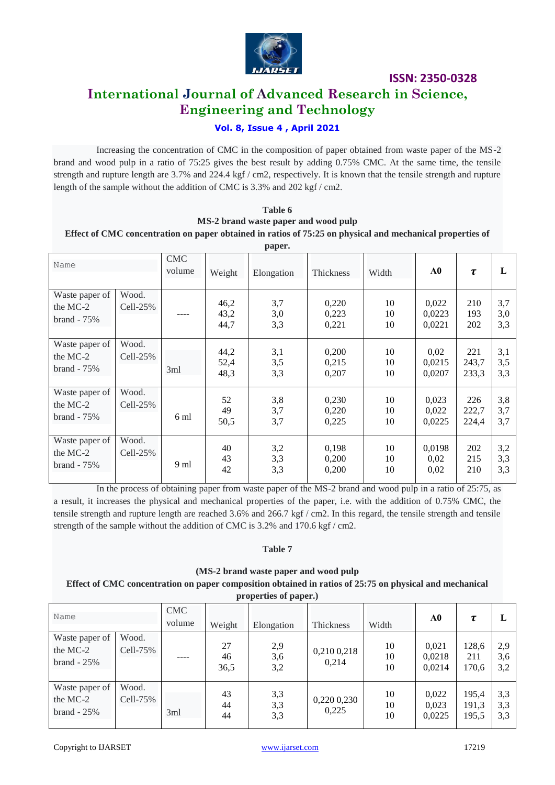

# **International Journal of Advanced Research in Science, Engineering and Technology**

### **Vol. 8, Issue 4 , April 2021**

Increasing the concentration of CMC in the composition of paper obtained from waste paper of the MS-2 brand and wood pulp in a ratio of 75:25 gives the best result by adding 0.75% CMC. At the same time, the tensile strength and rupture length are 3.7% and 224.4 kgf / cm2, respectively. It is known that the tensile strength and rupture length of the sample without the addition of CMC is 3.3% and 202 kgf / cm2.

| Table 6                                                                                                   |
|-----------------------------------------------------------------------------------------------------------|
| MS-2 brand waste paper and wood pulp                                                                      |
| Effect of CMC concentration on paper obtained in ratios of 75:25 on physical and mechanical properties of |

|                                              | paper.              |                      |                      |                   |                         |                |                           |                       |                   |  |  |  |  |  |
|----------------------------------------------|---------------------|----------------------|----------------------|-------------------|-------------------------|----------------|---------------------------|-----------------------|-------------------|--|--|--|--|--|
| Name                                         |                     | <b>CMC</b><br>volume | Weight               | Elongation        | Thickness               | Width          | ${\bf A0}$                | $\tau$                | L                 |  |  |  |  |  |
| Waste paper of<br>the MC-2<br>$brand - 75\%$ | Wood.<br>Cell-25%   |                      | 46,2<br>43,2<br>44,7 | 3,7<br>3,0<br>3,3 | 0,220<br>0,223<br>0,221 | 10<br>10<br>10 | 0,022<br>0,0223<br>0,0221 | 210<br>193<br>202     | 3,7<br>3,0<br>3,3 |  |  |  |  |  |
| Waste paper of<br>the MC-2<br>$brand - 75\%$ | Wood.<br>$Cell-25%$ | 3ml                  | 44,2<br>52,4<br>48,3 | 3,1<br>3,5<br>3,3 | 0,200<br>0,215<br>0,207 | 10<br>10<br>10 | 0,02<br>0,0215<br>0,0207  | 221<br>243,7<br>233,3 | 3,1<br>3,5<br>3,3 |  |  |  |  |  |
| Waste paper of<br>the MC-2<br>$brand - 75\%$ | Wood.<br>Cell-25%   | 6 ml                 | 52<br>49<br>50,5     | 3,8<br>3,7<br>3,7 | 0,230<br>0,220<br>0,225 | 10<br>10<br>10 | 0,023<br>0,022<br>0,0225  | 226<br>222,7<br>224,4 | 3,8<br>3,7<br>3,7 |  |  |  |  |  |
| Waste paper of<br>the MC-2<br>$brand - 75%$  | Wood.<br>Cell-25%   | 9 ml                 | 40<br>43<br>42       | 3,2<br>3,3<br>3,3 | 0,198<br>0,200<br>0,200 | 10<br>10<br>10 | 0,0198<br>0,02<br>0,02    | 202<br>215<br>210     | 3,2<br>3,3<br>3,3 |  |  |  |  |  |

In the process of obtaining paper from waste paper of the MS-2 brand and wood pulp in a ratio of 25:75, as a result, it increases the physical and mechanical properties of the paper, i.e. with the addition of 0.75% CMC, the tensile strength and rupture length are reached 3.6% and 266.7 kgf / cm2. In this regard, the tensile strength and tensile strength of the sample without the addition of CMC is 3.2% and 170.6 kgf / cm2.

#### **Table 7**

**(MS-2 brand waste paper and wood pulp Effect of CMC concentration on paper composition obtained in ratios of 25:75 on physical and mechanical properties of paper.)**

|                                              |                     |                      |                  | $\mu$ operates of pupers, |                      |                |                           |                         |                   |
|----------------------------------------------|---------------------|----------------------|------------------|---------------------------|----------------------|----------------|---------------------------|-------------------------|-------------------|
| Name                                         |                     | <b>CMC</b><br>volume | Weight           | Elongation                | Thickness            | Width          | A0                        | τ                       | L                 |
| Waste paper of<br>the MC-2<br>$brand - 25%$  | Wood.<br>Cell-75%   |                      | 27<br>46<br>36,5 | 2,9<br>3,6<br>3,2         | 0,210 0,218<br>0,214 | 10<br>10<br>10 | 0,021<br>0,0218<br>0,0214 | 128,6<br>211<br>170,6   | 2,9<br>3,6<br>3,2 |
| Waste paper of<br>the MC-2<br>$brand - 25\%$ | Wood.<br>$Cell-75%$ | 3ml                  | 43<br>44<br>44   | 3,3<br>3,3<br>3,3         | 0,220 0,230<br>0,225 | 10<br>10<br>10 | 0,022<br>0,023<br>0,0225  | 195,4<br>191,3<br>195,5 | 3,3<br>3,3<br>3,3 |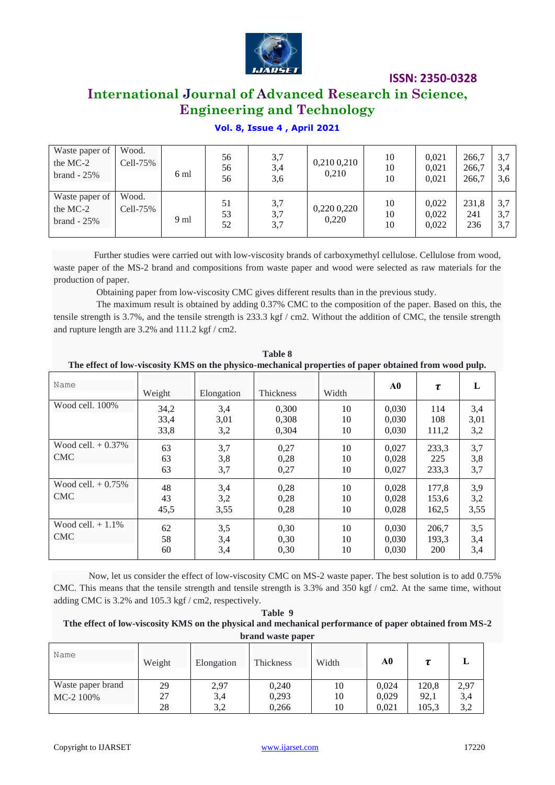

# **International Journal of Advanced Research in Science, Engineering and Technology**

## **Vol. 8, Issue 4 , April 2021**

| Waste paper of<br>the MC-2<br>$brand - 25%$ | Wood.<br>Cell-75% | 6 ml | 56<br>56<br>56 | 3,7<br>3,4<br>3,6 | 0,210 0,210<br>0,210 | 10<br>10<br>10 | 0.021<br>0,021<br>0,021 | 266.7<br>266,7<br>266,7 | 3,7<br>3.4<br>3.6 |
|---------------------------------------------|-------------------|------|----------------|-------------------|----------------------|----------------|-------------------------|-------------------------|-------------------|
| Waste paper of<br>the MC-2<br>$brand - 25%$ | Wood.<br>Cell-75% | 9 ml | 51<br>53<br>52 | 3,7<br>3,7<br>3,7 | 0,220 0,220<br>0,220 | 10<br>10<br>10 | 0.022<br>0.022<br>0,022 | 231,8<br>241<br>236     | 3,7<br>3.7<br>3,7 |

Further studies were carried out with low-viscosity brands of carboxymethyl cellulose. Cellulose from wood, waste paper of the MS-2 brand and compositions from waste paper and wood were selected as raw materials for the production of paper.

Obtaining paper from low-viscosity CMC gives different results than in the previous study.

The maximum result is obtained by adding 0.37% CMC to the composition of the paper. Based on this, the tensile strength is 3.7%, and the tensile strength is 233.3 kgf / cm2. Without the addition of CMC, the tensile strength and rupture length are 3.2% and 111.2 kgf / cm2.

| Table 8<br>The effect of low-viscosity KMS on the physico-mechanical properties of paper obtained from wood pulp. |                      |                    |                         |                |                         |                              |                    |  |  |  |  |
|-------------------------------------------------------------------------------------------------------------------|----------------------|--------------------|-------------------------|----------------|-------------------------|------------------------------|--------------------|--|--|--|--|
| Name                                                                                                              | Weight               | Elongation         | <b>Thickness</b>        | Width          | A0                      | τ                            | L                  |  |  |  |  |
| Wood cell. 100%                                                                                                   | 34,2<br>33,4<br>33,8 | 3,4<br>3,01<br>3,2 | 0,300<br>0.308<br>0.304 | 10<br>10<br>10 | 0,030<br>0.030<br>0,030 | 114<br>108<br>111,2          | 3,4<br>3,01<br>3,2 |  |  |  |  |
| Wood cell. $+0.37\%$<br><b>CMC</b>                                                                                | 63<br>63<br>63       | 3,7<br>3,8<br>3,7  | 0,27<br>0,28<br>0,27    | 10<br>10<br>10 | 0,027<br>0,028<br>0,027 | 233,3<br>225<br>233,3        | 3,7<br>3,8<br>3,7  |  |  |  |  |
| Wood cell. $+0.75\%$<br><b>CMC</b>                                                                                | 48<br>43<br>45,5     | 3,4<br>3,2<br>3,55 | 0,28<br>0,28<br>0,28    | 10<br>10<br>10 | 0,028<br>0,028<br>0,028 | 177,8<br>153,6<br>162,5      | 3,9<br>3,2<br>3,55 |  |  |  |  |
| Wood cell. $+1.1\%$<br><b>CMC</b>                                                                                 | 62<br>58<br>60       | 3,5<br>3,4<br>3,4  | 0,30<br>0.30<br>0,30    | 10<br>10<br>10 | 0,030<br>0.030<br>0,030 | 206,7<br>193,3<br><b>200</b> | 3,5<br>3,4<br>3,4  |  |  |  |  |

Now, let us consider the effect of low-viscosity CMC on MS-2 waste paper. The best solution is to add 0.75% CMC. This means that the tensile strength and tensile strength is 3.3% and 350 kgf / cm2. At the same time, without adding CMC is 3.2% and 105.3 kgf / cm2, respectively.

#### **Table 9 Tthe effect of low-viscosity KMS on the physical and mechanical performance of paper obtained from MS-2 brand waste paper**

| Name              | Weight | Elongation | <b>Thickness</b> | Width | A0    |       |      |
|-------------------|--------|------------|------------------|-------|-------|-------|------|
| Waste paper brand | 29     | 2,97       | 0,240            | 10    | 0.024 | 120,8 | 2,97 |
| MC-2 100%         | 27     | 3,4        | 0,293            | 10    | 0,029 | 92,1  | 3,4  |
|                   | 28     | 3,2        | 0.266            | 10    | 0.021 | 105,3 | 3,2  |